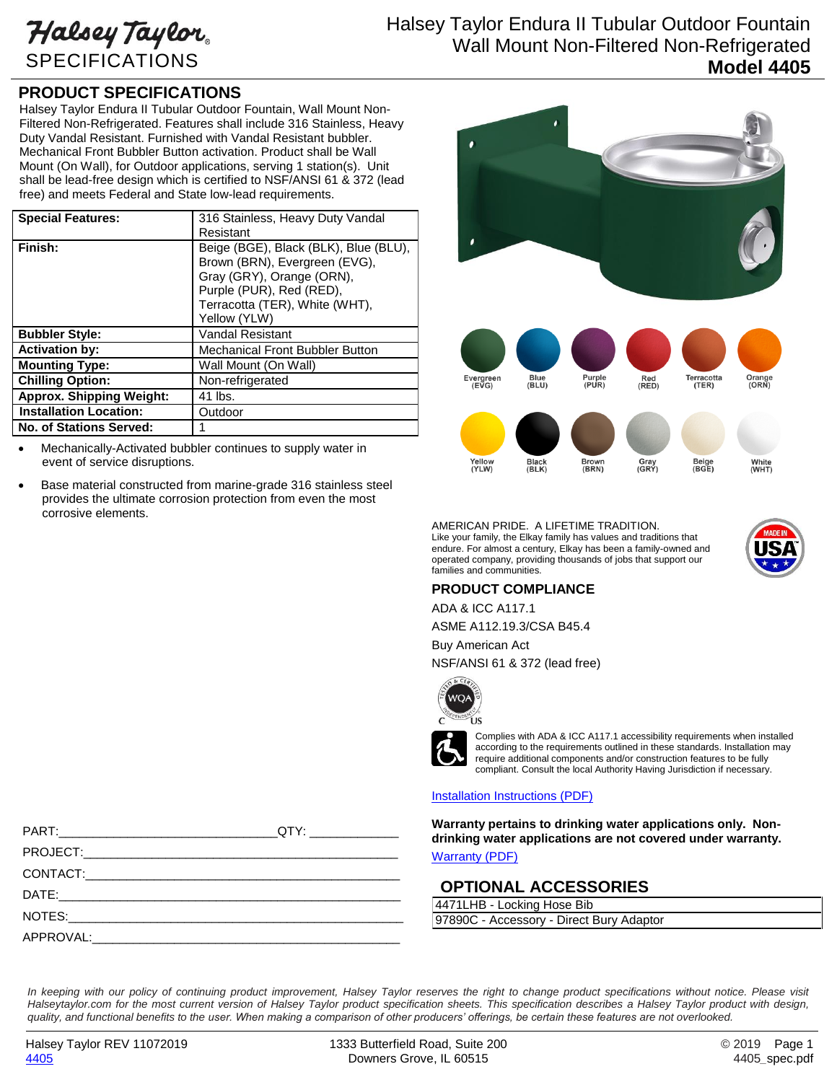Halsey Taylor SPECIFICATIONS

# Halsey Taylor Endura II Tubular Outdoor Fountain Wall Mount Non-Filtered Non-Refrigerated **Model 4405**

## **PRODUCT SPECIFICATIONS**

Halsey Taylor Endura II Tubular Outdoor Fountain, Wall Mount Non-Filtered Non-Refrigerated. Features shall include 316 Stainless, Heavy Duty Vandal Resistant. Furnished with Vandal Resistant bubbler. Mechanical Front Bubbler Button activation. Product shall be Wall Mount (On Wall), for Outdoor applications, serving 1 station(s). Unit shall be lead-free design which is certified to NSF/ANSI 61 & 372 (lead free) and meets Federal and State low-lead requirements.

| <b>Special Features:</b>        | 316 Stainless, Heavy Duty Vandal      |
|---------------------------------|---------------------------------------|
|                                 | Resistant                             |
| Finish:                         | Beige (BGE), Black (BLK), Blue (BLU), |
|                                 | Brown (BRN), Evergreen (EVG),         |
|                                 | Gray (GRY), Orange (ORN),             |
|                                 | Purple (PUR), Red (RED),              |
|                                 | Terracotta (TER), White (WHT),        |
|                                 | Yellow (YLW)                          |
| <b>Bubbler Style:</b>           | <b>Vandal Resistant</b>               |
| <b>Activation by:</b>           | Mechanical Front Bubbler Button       |
| <b>Mounting Type:</b>           | Wall Mount (On Wall)                  |
| <b>Chilling Option:</b>         | Non-refrigerated                      |
| <b>Approx. Shipping Weight:</b> | 41 lbs.                               |
| <b>Installation Location:</b>   | Outdoor                               |
| <b>No. of Stations Served:</b>  |                                       |

 Mechanically-Activated bubbler continues to supply water in event of service disruptions.

 Base material constructed from marine-grade 316 stainless steel provides the ultimate corrosion protection from even the most corrosive elements.



AMERICAN PRIDE. A LIFETIME TRADITION. Like your family, the Elkay family has values and traditions that endure. For almost a century, Elkay has been a family-owned and operated company, providing thousands of jobs that support our families and communities.



### **PRODUCT COMPLIANCE**

ADA & ICC A117.1

ASME A112.19.3/CSA B45.4 Buy American Act

NSF/ANSI 61 & 372 (lead free)



Complies with ADA & ICC A117.1 accessibility requirements when installed according to the requirements outlined in these standards. Installation may require additional components and/or construction features to be fully compliant. Consult the local Authority Having Jurisdiction if necessary.

#### [Installation Instructions \(PDF\)](http://www.elkay.com/wcsstore/lkdocs/care-cleaning-install-warranty-sheets/1000003938.pdf)

**Warranty pertains to drinking water applications only. Nondrinking water applications are not covered under warranty.**

[Warranty](http://www.elkay.com/wcsstore/lkdocs/care-cleaning-install-warranty-sheets/96994c.pdf) (PDF)

### **OPTIONAL ACCESSORIES**

4471LHB - Locking Hose Bib 97890C - Accessory - Direct Bury Adaptor

PROJECT:\_\_\_\_\_\_\_\_\_\_\_\_\_\_\_\_\_\_\_\_\_\_\_\_\_\_\_\_\_\_\_\_\_\_\_\_\_\_\_\_\_\_\_\_\_\_ CONTACT:\_\_\_\_\_\_\_\_\_\_\_\_\_\_\_\_\_\_\_\_\_\_\_\_\_\_\_\_\_\_\_\_\_\_\_\_\_\_\_\_\_\_\_\_\_\_ DATE:\_\_\_\_\_\_\_\_\_\_\_\_\_\_\_\_\_\_\_\_\_\_\_\_\_\_\_\_\_\_\_\_\_\_\_\_\_\_\_\_\_\_\_\_\_\_\_\_\_\_ NOTES:\_\_\_\_\_\_\_\_\_\_\_\_\_\_\_\_\_\_\_\_\_\_\_\_\_\_\_\_\_\_\_\_\_\_\_\_\_\_\_\_\_\_\_\_\_\_\_\_\_  $APPROVAL: \_$ 

PART:\_\_\_\_\_\_\_\_\_\_\_\_\_\_\_\_\_\_\_\_\_\_\_\_\_\_\_\_\_\_\_\_QTY: \_\_\_\_\_\_\_\_\_\_\_\_\_

In keeping with our policy of continuing product improvement, Halsey Taylor reserves the right to change product specifications without notice. Please visit *Halseytaylor.com for the most current version of Halsey Taylor product specification sheets. This specification describes a Halsey Taylor product with design, quality, and functional benefits to the user. When making a comparison of other producers' offerings, be certain these features are not overlooked.*